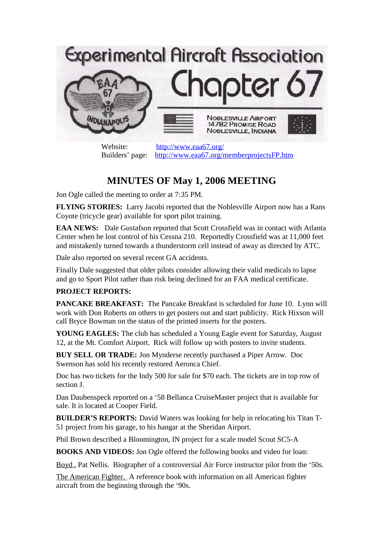

Website: http://www.eaa67.org/ Builders' page: http://www.eaa67.org/memberprojectsFP.htm

## **MINUTES OF May 1, 2006 MEETING**

Jon Ogle called the meeting to order at 7:35 PM.

**FLYING STORIES:** Larry Jacobi reported that the Noblesville Airport now has a Rans Coyote (tricycle gear) available for sport pilot training.

**EAA NEWS:** Dale Gustafson reported that Scott Crossfield was in contact with Atlanta Center when he lost control of his Cessna 210. Reportedly Crossfield was at 11,000 feet and mistakenly turned towards a thunderstorm cell instead of away as directed by ATC.

Dale also reported on several recent GA accidents.

Finally Dale suggested that older pilots consider allowing their valid medicals to lapse and go to Sport Pilot rather than risk being declined for an FAA medical certificate.

## **PROJECT REPORTS:**

**PANCAKE BREAKFAST:** The Pancake Breakfast is scheduled for June 10. Lynn will work with Don Roberts on others to get posters out and start publicity. Rick Hixson will call Bryce Bowman on the status of the printed inserts for the posters.

**YOUNG EAGLES:** The club has scheduled a Young Eagle event for Saturday, August 12, at the Mt. Comfort Airport. Rick will follow up with posters to invite students.

**BUY SELL OR TRADE:** Jon Mynderse recently purchased a Piper Arrow. Doc Swenson has sold his recently restored Aeronca Chief.

Doc has two tickets for the Indy 500 for sale for \$70 each. The tickets are in top row of section J.

Dan Daubenspeck reported on a '58 Bellanca CruiseMaster project that is available for sale. It is located at Cooper Field.

**BUILDER'S REPORTS:** David Waters was looking for help in relocating his Titan T-51 project from his garage, to his hangar at the Sheridan Airport.

Phil Brown described a Bloomington, IN project for a scale model Scout SC5-A

**BOOKS AND VIDEOS:** Jon Ogle offered the following books and video for loan:

Boyd , Pat Nellis. Biographer of a controversial Air Force instructor pilot from the '50s.

The American Fighter. A reference book with information on all American fighter aircraft from the beginning through the '90s.